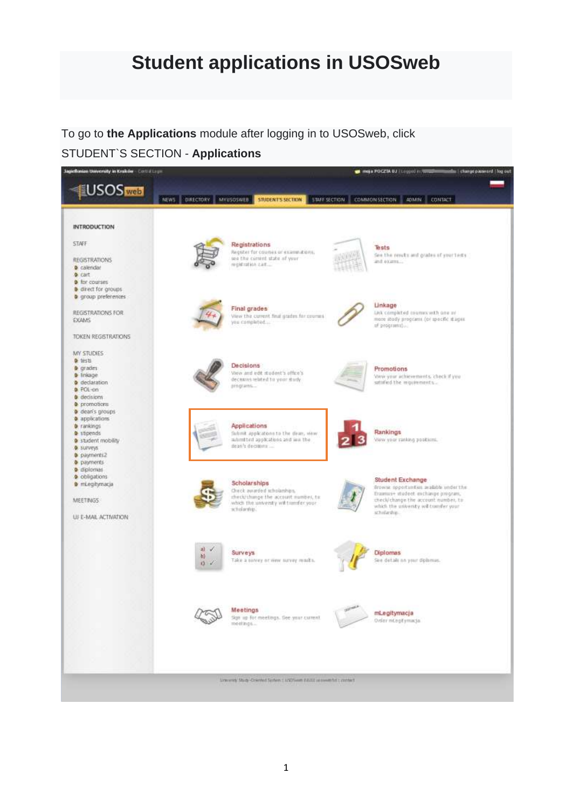# **Student applications in USOSweb**

To go to **the Applications** module after logging in to USOSweb, click

### STUDENT`S SECTION - **Applications**

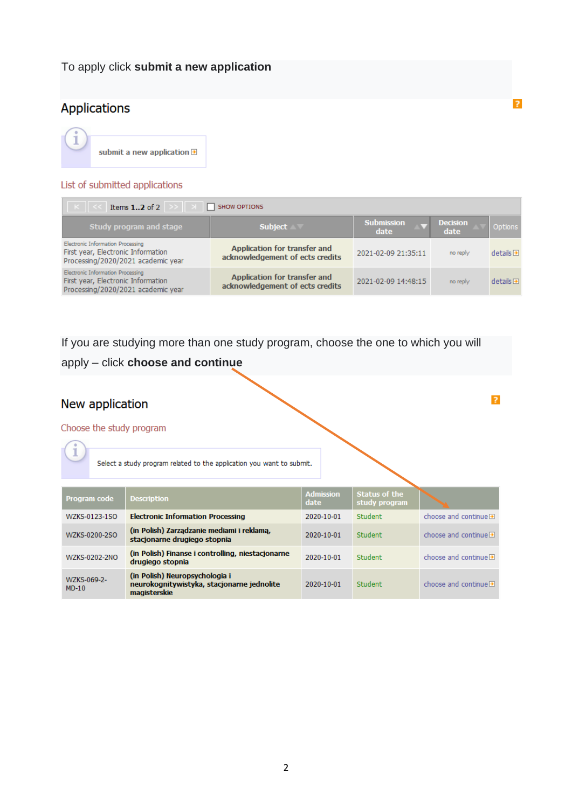### To apply click **submit a new application**

## **Applications**



#### List of submitted applications

| SHOW OPTIONS<br>Items $12$ of 2                                                                               |                                                                 |                           |                         |                       |  |
|---------------------------------------------------------------------------------------------------------------|-----------------------------------------------------------------|---------------------------|-------------------------|-----------------------|--|
| Study program and stage                                                                                       | <b>Subject</b>                                                  | <b>Submission</b><br>date | <b>Decision</b><br>date | Options               |  |
| Electronic Information Processing<br>First year, Electronic Information<br>Processing/2020/2021 academic year | Application for transfer and<br>acknowledgement of ects credits | 2021-02-09 21:35:11       | no reply                | details               |  |
| Electronic Information Processing<br>First year, Electronic Information<br>Processing/2020/2021 academic year | Application for transfer and<br>acknowledgement of ects credits | 2021-02-09 14:48:15       | no reply                | $details \rightarrow$ |  |

If you are studying more than one study program, choose the one to which you will

### apply – click **choose and continue**

### New application

#### Choose the study program

Select a study program related to the application you want to submit.

| Program code           | <b>Description</b>                                                                           | <b>Admission</b><br>date | Status of the<br>study program |                                           |
|------------------------|----------------------------------------------------------------------------------------------|--------------------------|--------------------------------|-------------------------------------------|
| WZKS-0123-1SO          | <b>Electronic Information Processing</b>                                                     | 2020-10-01               | Student                        | choose and continue $\blacksquare$        |
| WZKS-0200-2SO          | (in Polish) Zarządzanie mediami i reklamą,<br>stacionarne drugiego stopnia                   | 2020-10-01               | Student                        | choose and continue $\rightarrow$         |
| WZKS-0202-2NO          | (in Polish) Finanse i controlling, niestacjonarne<br>drugiego stopnia                        | 2020-10-01               | Student                        | choose and continue $\blacktriangleright$ |
| WZKS-069-2-<br>$MD-10$ | (in Polish) Neuropsychologia i<br>neurokognitywistyka, stacjonarne jednolite<br>magisterskie | 2020-10-01               | Student                        | choose and continue $\blacksquare$        |

 $\overline{?}$ 

 $\overline{?}$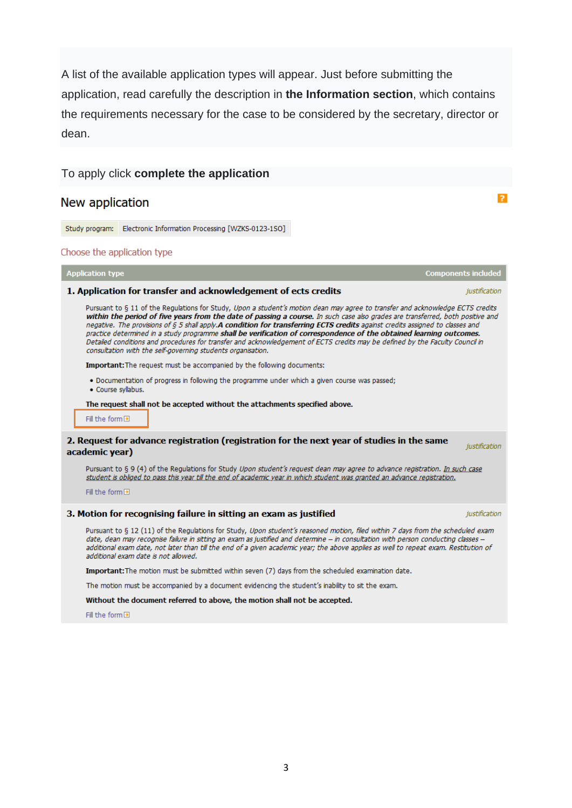A list of the available application types will appear. Just before submitting the application, read carefully the description in **the Information section**, which contains the requirements necessary for the case to be considered by the secretary, director or dean.

 $\overline{?}$ 

To apply click **complete the application**

New application

Study program: Electronic Information Processing [WZKS-0123-1SO]

#### Choose the application type

| <b>Application type</b>                                                                                                                                                                                                                                                                                                                                                                                                                                                                                                                                                                                                                                                                                                 | <b>Components included</b> |
|-------------------------------------------------------------------------------------------------------------------------------------------------------------------------------------------------------------------------------------------------------------------------------------------------------------------------------------------------------------------------------------------------------------------------------------------------------------------------------------------------------------------------------------------------------------------------------------------------------------------------------------------------------------------------------------------------------------------------|----------------------------|
| 1. Application for transfer and acknowledgement of ects credits                                                                                                                                                                                                                                                                                                                                                                                                                                                                                                                                                                                                                                                         | justification              |
| Pursuant to § 11 of the Requlations for Study, Upon a student's motion dean may agree to transfer and acknowledge ECTS credits<br>within the period of five years from the date of passing a course. In such case also grades are transferred, both positive and<br>negative. The provisions of § 5 shall apply.A condition for transferring ECTS credits against credits assigned to classes and<br>practice determined in a study programme shall be verification of correspondence of the obtained learning outcomes.<br>Detailed conditions and procedures for transfer and acknowledgement of ECTS credits may be defined by the Faculty Council in<br>consultation with the self-governing students organisation. |                            |
| <b>Important:</b> The request must be accompanied by the following documents:                                                                                                                                                                                                                                                                                                                                                                                                                                                                                                                                                                                                                                           |                            |
| . Documentation of progress in following the programme under which a given course was passed;<br>· Course syllabus.                                                                                                                                                                                                                                                                                                                                                                                                                                                                                                                                                                                                     |                            |
| The request shall not be accepted without the attachments specified above.<br>Fill the form D                                                                                                                                                                                                                                                                                                                                                                                                                                                                                                                                                                                                                           |                            |
| 2. Request for advance registration (registration for the next year of studies in the same<br>academic year)                                                                                                                                                                                                                                                                                                                                                                                                                                                                                                                                                                                                            | justification              |
| Pursuant to § 9 (4) of the Regulations for Study Upon student's request dean may agree to advance registration. In such case<br>student is obliged to pass this year till the end of academic year in which student was granted an advance registration.                                                                                                                                                                                                                                                                                                                                                                                                                                                                |                            |
| Fill the form +                                                                                                                                                                                                                                                                                                                                                                                                                                                                                                                                                                                                                                                                                                         |                            |
| 3. Motion for recognising failure in sitting an exam as justified                                                                                                                                                                                                                                                                                                                                                                                                                                                                                                                                                                                                                                                       | justification              |
| Pursuant to § 12 (11) of the Regulations for Study, Upon student's reasoned motion, filed within 7 days from the scheduled exam<br>date, dean may recognise failure in sitting an exam as justified and determine - in consultation with person conducting classes -<br>additional exam date, not later than till the end of a given academic year; the above applies as well to repeat exam. Restitution of<br>additional exam date is not allowed.                                                                                                                                                                                                                                                                    |                            |
| Important: The motion must be submitted within seven (7) days from the scheduled examination date.                                                                                                                                                                                                                                                                                                                                                                                                                                                                                                                                                                                                                      |                            |
| The motion must be accompanied by a document evidencing the student's inability to sit the exam.                                                                                                                                                                                                                                                                                                                                                                                                                                                                                                                                                                                                                        |                            |
| Without the document referred to above, the motion shall not be accepted.                                                                                                                                                                                                                                                                                                                                                                                                                                                                                                                                                                                                                                               |                            |

Fill the form  $\boxplus$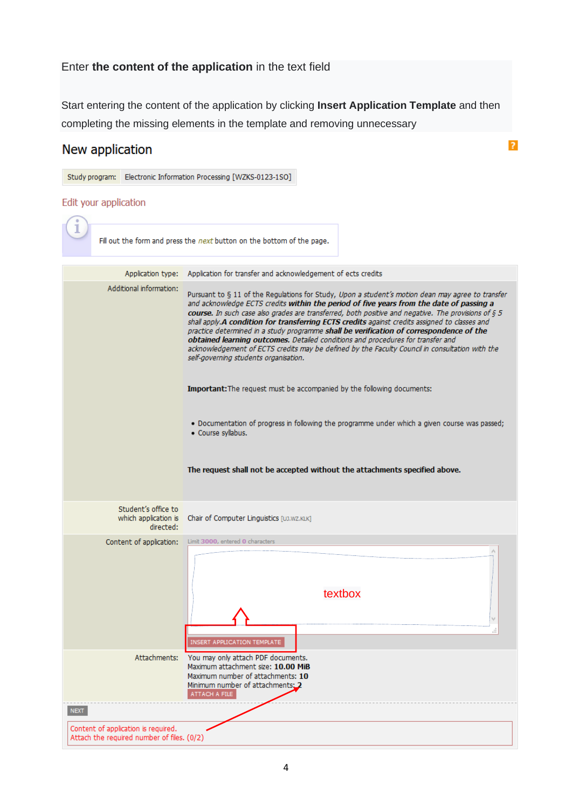### Enter **the content of the application** in the text field

Start entering the content of the application by clicking **Insert Application Template** and then completing the missing elements in the template and removing unnecessary

 $\overline{z}$ 

### New application

Study program: Electronic Information Processing [WZKS-0123-1SO] Edit your application Fill out the form and press the next button on the bottom of the page. Application type: Application for transfer and acknowledgement of ects credits Additional information: Pursuant to § 11 of the Regulations for Study, Upon a student's motion dean may agree to transfer and acknowledge ECTS credits within the period of five years from the date of passing a course. In such case also grades are transferred, both positive and negative. The provisions of 6.5 shall apply.A condition for transferring ECTS credits against credits assigned to classes and practice determined in a study programme shall be verification of correspondence of the obtained learning outcomes. Detailed conditions and procedures for transfer and acknowledgement of ECTS credits may be defined by the Faculty Council in consultation with the self-governing students organisation. Important: The request must be accompanied by the following documents: . Documentation of progress in following the programme under which a given course was passed; · Course syllabus. The request shall not be accepted without the attachments specified above. Student's office to which application is Chair of Computer Linguistics [UJ.WZ.KLK] directed: Content of application: Limit 3000, entered 0 characters textbox**RT APPLICATION TEMPLATE** Attachments: You may only attach PDF documents. Maximum attachment size: 10.00 MiB Maximum number of attachments: 10 Minimum number of attachments: 2 ATTACH A FILE **NEXT** Content of application is required. Attach the required number of files. (0/2)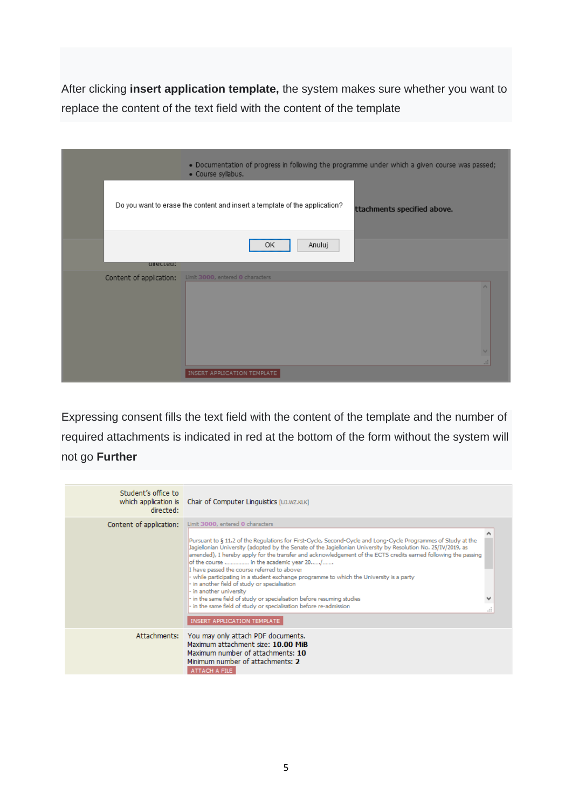After clicking **insert application template,** the system makes sure whether you want to replace the content of the text field with the content of the template

|                         | . Documentation of progress in following the programme under which a given course was passed;<br>· Course syllabus. |  |
|-------------------------|---------------------------------------------------------------------------------------------------------------------|--|
|                         | Do you want to erase the content and insert a template of the application?<br>ttachments specified above.           |  |
| urected:                | Anuluj<br>OK                                                                                                        |  |
| Content of application: | Limit 3000, entered 0 characters                                                                                    |  |
|                         | INSERT APPLICATION TEMPLATE                                                                                         |  |

Expressing consent fills the text field with the content of the template and the number of required attachments is indicated in red at the bottom of the form without the system will not go **Further**

| Student's office to<br>which application is<br>directed: | Chair of Computer Linguistics [UJ.WZ.KLK]                                                                                                                                                                                                                                                                                                                                                                                                                                                                                                                                                                                                                                                                                                                                                                                              |  |
|----------------------------------------------------------|----------------------------------------------------------------------------------------------------------------------------------------------------------------------------------------------------------------------------------------------------------------------------------------------------------------------------------------------------------------------------------------------------------------------------------------------------------------------------------------------------------------------------------------------------------------------------------------------------------------------------------------------------------------------------------------------------------------------------------------------------------------------------------------------------------------------------------------|--|
| Content of application:                                  | Limit 3000, entered 0 characters<br>Pursuant to § 11.2 of the Regulations for First-Cycle, Second-Cycle and Long-Cycle Programmes of Study at the<br>Jagiellonian University (adopted by the Senate of the Jagiellonian University by Resolution No. 25/IV/2019, as<br>amended), I hereby apply for the transfer and acknowledgement of the ECTS credits earned following the passing<br>of the course  in the academic year 20/<br>I have passed the course referred to above:<br>- while participating in a student exchange programme to which the University is a party<br>- in another field of study or specialisation<br>- in another university<br>- in the same field of study or specialisation before resuming studies<br>- in the same field of study or specialisation before re-admission<br>INSERT APPLICATION TEMPLATE |  |
| Attachments:                                             | You may only attach PDF documents.<br>Maximum attachment size: 10.00 MiB<br>Maximum number of attachments: 10<br>Minimum number of attachments: 2<br>ATTACH A FILE                                                                                                                                                                                                                                                                                                                                                                                                                                                                                                                                                                                                                                                                     |  |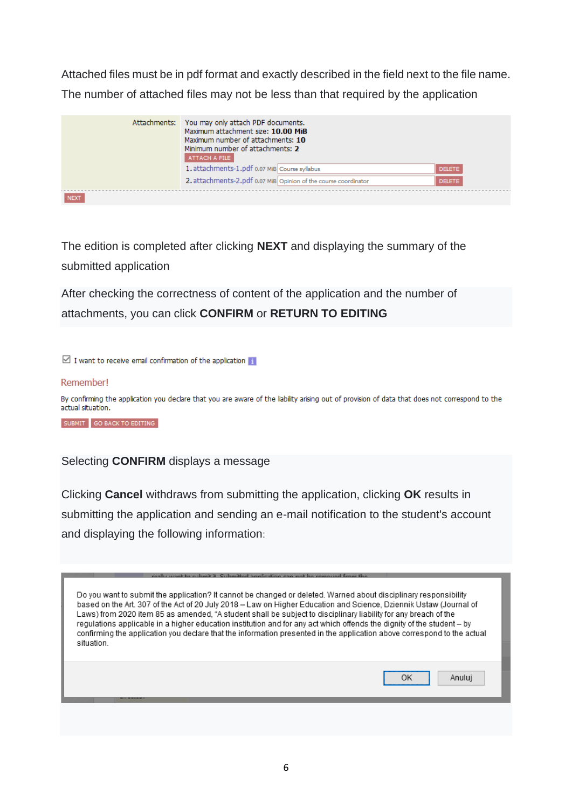Attached files must be in pdf format and exactly described in the field next to the file name. The number of attached files may not be less than that required by the application

|             | Attachments: You may only attach PDF documents.<br>Maximum attachment size: 10.00 MiB<br>Maximum number of attachments: 10<br>Minimum number of attachments: 2<br>ATTACH A FILE |               |  |
|-------------|---------------------------------------------------------------------------------------------------------------------------------------------------------------------------------|---------------|--|
|             | 1. attachments-1.pdf 0.07 MiB Course syllabus                                                                                                                                   | <b>DELETE</b> |  |
|             | 2. attachments-2.pdf 0.07 MiB Opinion of the course coordinator                                                                                                                 | <b>DELETE</b> |  |
| <b>NEXT</b> |                                                                                                                                                                                 |               |  |

The edition is completed after clicking **NEXT** and displaying the summary of the submitted application

After checking the correctness of content of the application and the number of attachments, you can click **CONFIRM** or **RETURN TO EDITING**

 $\boxdot$  I want to receive email confirmation of the application  $\blacksquare$ 

#### Remember!

By confirming the application you declare that you are aware of the liability arising out of provision of data that does not correspond to the actual situation.

SUBMIT GO BACK TO EDITING

#### Selecting **CONFIRM** displays a message

Clicking **Cancel** withdraws from submitting the application, clicking **OK** results in submitting the application and sending an e-mail notification to the student's account and displaying the following information:

| Do you want to submit the application? It cannot be changed or deleted. Warned about disciplinary responsibility<br>based on the Art. 307 of the Act of 20 July 2018 – Law on Higher Education and Science, Dziennik Ustaw (Journal of                                                                                                                               |
|----------------------------------------------------------------------------------------------------------------------------------------------------------------------------------------------------------------------------------------------------------------------------------------------------------------------------------------------------------------------|
| Laws) from 2020 item 85 as amended, "A student shall be subject to disciplinary liability for any breach of the<br>regulations applicable in a higher education institution and for any act which offends the dignity of the student – by<br>confirming the application you declare that the information presented in the application above correspond to the actual |
| situation.                                                                                                                                                                                                                                                                                                                                                           |

 $OK$ 

Anuluj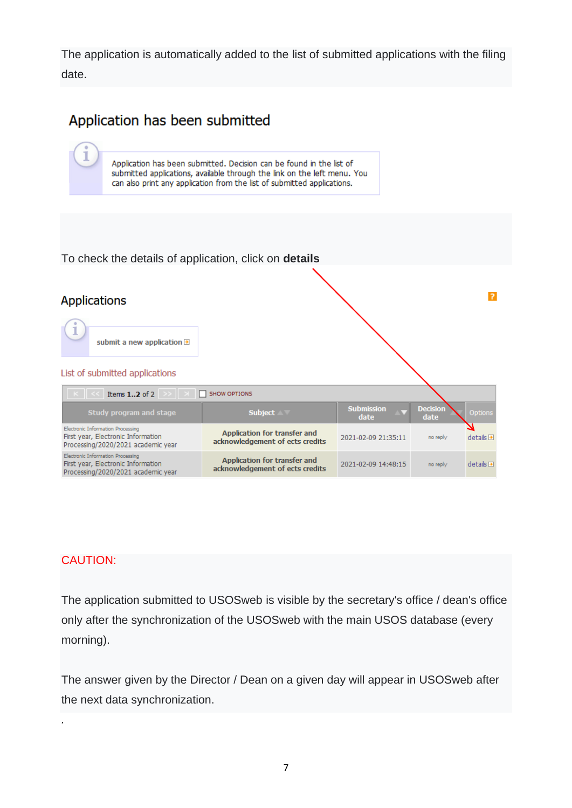The application is automatically added to the list of submitted applications with the filing date.

# Application has been submitted





### CAUTION:

*.*

The application submitted to USOSweb is visible by the secretary's office / dean's office only after the synchronization of the USOSweb with the main USOS database (every morning).

The answer given by the Director / Dean on a given day will appear in USOSweb after the next data synchronization.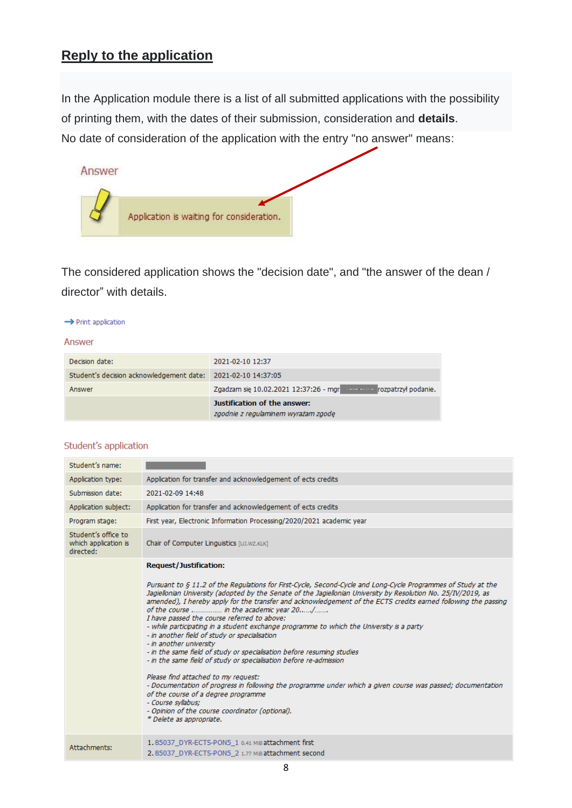# **Reply to the application**

In the Application module there is a list of all submitted applications with the possibility of printing them, with the dates of their submission, consideration and **details**. No date of consideration of the application with the entry "no answer" means:



The considered application shows the "decision date", and "the answer of the dean / director" with details.

#### $\rightarrow$  Print application

#### Answer

|                                                              | Justification of the answer:<br>zgodnie z regulaminem wyrażam zgode |
|--------------------------------------------------------------|---------------------------------------------------------------------|
| Answer                                                       | Zgadzam się 10.02.2021 12:37:26 - mgr metal rozpatrzył podanie.     |
| Student's decision acknowledgement date: 2021-02-10 14:37:05 |                                                                     |
| Decision date:                                               | 2021-02-10 12:37                                                    |

#### Student's application

| Student's name:                                          |                                                                                                                                                                                                                                                                                                                                                                                                                                                                                                                                                                                                                                                                                                                                                                                                                                                                                                                                                                                                                                                                                                        |
|----------------------------------------------------------|--------------------------------------------------------------------------------------------------------------------------------------------------------------------------------------------------------------------------------------------------------------------------------------------------------------------------------------------------------------------------------------------------------------------------------------------------------------------------------------------------------------------------------------------------------------------------------------------------------------------------------------------------------------------------------------------------------------------------------------------------------------------------------------------------------------------------------------------------------------------------------------------------------------------------------------------------------------------------------------------------------------------------------------------------------------------------------------------------------|
| Application type:                                        | Application for transfer and acknowledgement of ects credits                                                                                                                                                                                                                                                                                                                                                                                                                                                                                                                                                                                                                                                                                                                                                                                                                                                                                                                                                                                                                                           |
| Submission date:                                         | 2021-02-09 14:48                                                                                                                                                                                                                                                                                                                                                                                                                                                                                                                                                                                                                                                                                                                                                                                                                                                                                                                                                                                                                                                                                       |
| Application subject:                                     | Application for transfer and acknowledgement of ects credits                                                                                                                                                                                                                                                                                                                                                                                                                                                                                                                                                                                                                                                                                                                                                                                                                                                                                                                                                                                                                                           |
| Program stage:                                           | First year, Electronic Information Processing/2020/2021 academic year                                                                                                                                                                                                                                                                                                                                                                                                                                                                                                                                                                                                                                                                                                                                                                                                                                                                                                                                                                                                                                  |
| Student's office to<br>which application is<br>directed: | Chair of Computer Linguistics [UJ.WZ.KLK]                                                                                                                                                                                                                                                                                                                                                                                                                                                                                                                                                                                                                                                                                                                                                                                                                                                                                                                                                                                                                                                              |
|                                                          | <b>Request/Justification:</b><br>Pursuant to § 11.2 of the Regulations for First-Cycle, Second-Cycle and Long-Cycle Programmes of Study at the<br>Jagiellonian University (adopted by the Senate of the Jagiellonian University by Resolution No. 25/IV/2019, as<br>amended), I hereby apply for the transfer and acknowledgement of the ECTS credits earned following the passing<br>of the course  in the academic year 20/<br>I have passed the course referred to above:<br>- while participating in a student exchange programme to which the University is a party<br>- in another field of study or specialisation<br>- in another university<br>- in the same field of study or specialisation before resuming studies<br>- in the same field of study or specialisation before re-admission<br>Please find attached to my request:<br>- Documentation of progress in following the programme under which a given course was passed; documentation<br>of the course of a degree programme<br>- Course syllabus;<br>- Opinion of the course coordinator (optional).<br>* Delete as appropriate. |
| Attachments:                                             | 1.85037 DYR-ECTS-PON5 1 0.41 MiB attachment first<br>2.85037 DYR-ECTS-PON5 2 1.77 MiB attachment second                                                                                                                                                                                                                                                                                                                                                                                                                                                                                                                                                                                                                                                                                                                                                                                                                                                                                                                                                                                                |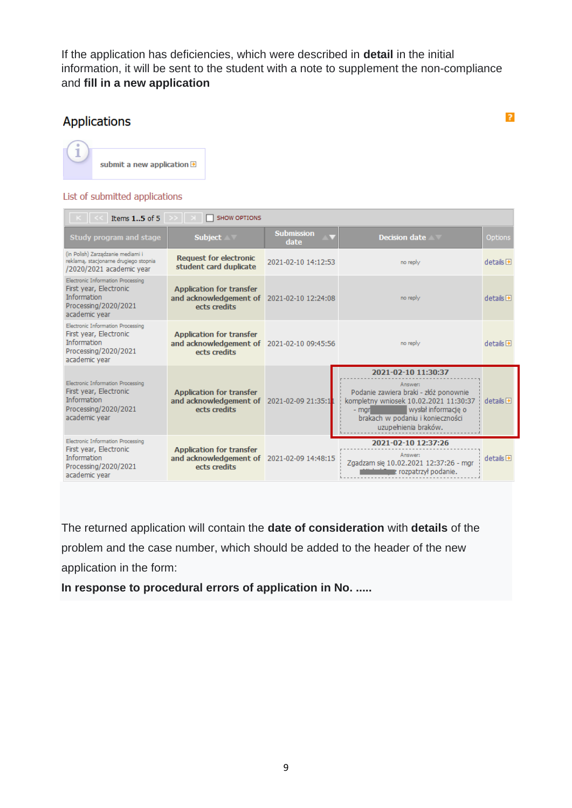If the application has deficiencies, which were described in **detail** in the initial information, it will be sent to the student with a note to supplement the non-compliance and **fill in a new application**

### **Applications**

 $\overline{?}$ 



#### List of submitted applications

| Items 15 of 5                                                                                                              | SHOW OPTIONS                                                                                  |                           |                                                                                                                                                                                                               |                          |
|----------------------------------------------------------------------------------------------------------------------------|-----------------------------------------------------------------------------------------------|---------------------------|---------------------------------------------------------------------------------------------------------------------------------------------------------------------------------------------------------------|--------------------------|
| Study program and stage                                                                                                    | <b>Subject</b>                                                                                | <b>Submission</b><br>date | Decision date<br>$\mathcal{L}$                                                                                                                                                                                | Options                  |
| (in Polish) Zarządzanie mediami i<br>reklamą, stacjonarne drugiego stopnia<br>/2020/2021 academic year                     | <b>Request for electronic</b><br>student card duplicate                                       | 2021-02-10 14:12:53       | no reply                                                                                                                                                                                                      | $details$ $\blacksquare$ |
| Electronic Information Processing<br>First year, Electronic<br><b>Information</b><br>Processing/2020/2021<br>academic year | <b>Application for transfer</b><br>and acknowledgement of 2021-02-10 12:24:08<br>ects credits |                           | no reply                                                                                                                                                                                                      | $details$ $\blacksquare$ |
| Electronic Information Processing<br>First year, Electronic<br><b>Information</b><br>Processing/2020/2021<br>academic year | <b>Application for transfer</b><br>and acknowledgement of 2021-02-10 09:45:56<br>ects credits |                           | no reply                                                                                                                                                                                                      | $details$ $\blacksquare$ |
| Electronic Information Processing<br>First year, Electronic<br><b>Information</b><br>Processing/2020/2021<br>academic year | <b>Application for transfer</b><br>and acknowledgement of<br>ects credits                     | 2021-02-09 21:35:1        | 2021-02-10 11:30:37<br>Answer:<br>Podanie zawiera braki - złóż ponownie<br>kompletny wniosek 10.02.2021 11:30:37<br>wysłał informacje o<br>- marl<br>brakach w podaniu i konieczności<br>uzupełnienia braków. | $details$ $\rightarrow$  |
| Electronic Information Processing<br>First year, Electronic<br><b>Information</b><br>Processing/2020/2021<br>academic year | <b>Application for transfer</b><br>and acknowledgement of 2021-02-09 14:48:15<br>ects credits |                           | 2021-02-10 12:37:26<br>Answer:<br>Zgadzam się 10.02.2021 12:37:26 - mgr<br><b>Manus</b> rozpatrzył podanie.                                                                                                   | $details$ $\blacksquare$ |

The returned application will contain the **date of consideration** with **details** of the problem and the case number, which should be added to the header of the new application in the form:

**In response to procedural errors of application in No. .....**